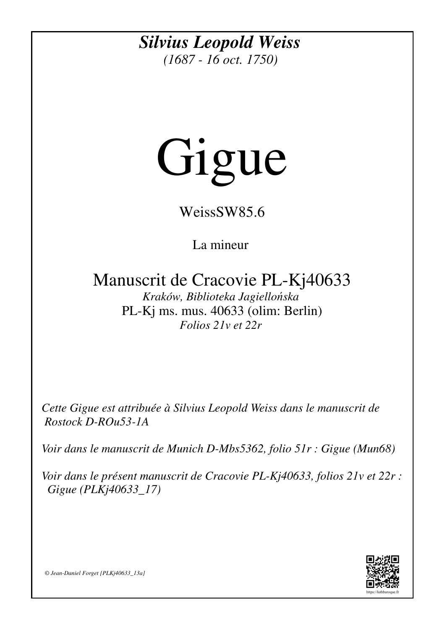## *Silvius Leopold Weiss*

*(1687 - 16 oct. 1750)*

## Gigue

WeissSW85.6

La mineur

Manuscrit de Cracovie PL-Kj40633

*Kraków, Biblioteka Jagiellońska* PL-Kj ms. mus. 40633 (olim: Berlin) *Folios 21v et 22r*

*Cette Gigue est attribuée à Silvius Leopold Weiss dans le manuscrit de Rostock D-ROu53-1A*

*Voir dans le manuscrit de Munich D-Mbs5362, folio 51r : Gigue (Mun68)*

*Voir dans le présent manuscrit de Cracovie PL-Kj40633, folios 21v et 22r : Gigue (PLKj40633\_17)*



*© Jean-Daniel Forget [PLKj40633\_13a]*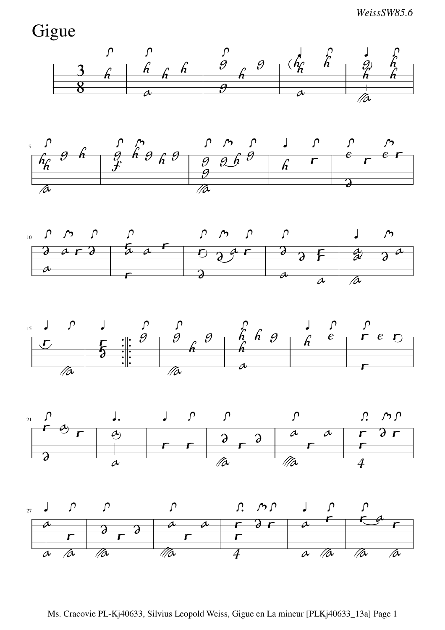*WeissSW85.6*

Gigue













Ms. Cracovie PL-Kj40633, Silvius Leopold Weiss, Gigue en La mineur [PLKj40633\_13a] Page 1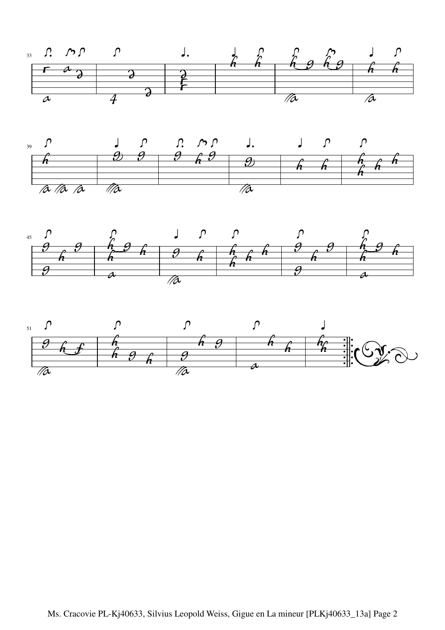